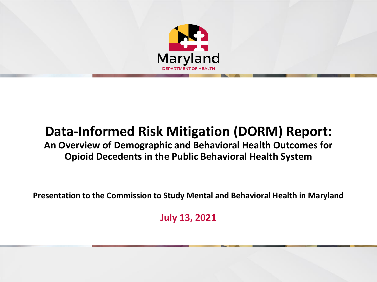

### **Data-Informed Risk Mitigation (DORM) Report:**

**An Overview of Demographic and Behavioral Health Outcomes for Opioid Decedents in the Public Behavioral Health System**

**Presentation to the Commission to Study Mental and Behavioral Health in Maryland**

**July 13, 2021**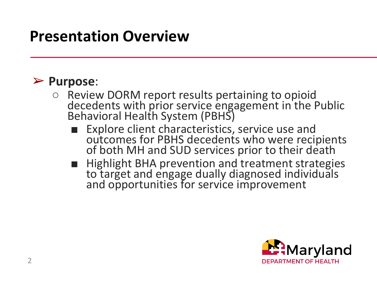## **Presentation Overview**

#### ➢ **Purpose**:

- Review DORM report results pertaining to opioid decedents with prior service engagement in the Public Behavioral Health System (PBHS)
	- Explore client characteristics, service use and outcomes for PBHS decedents who were recipients of both MH and SUD services prior to their death
	- Highlight BHA prevention and treatment strategies to target and engage dually diagnosed individuals and opportunities for service improvement

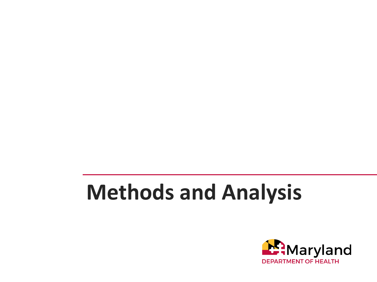# **Methods and Analysis**

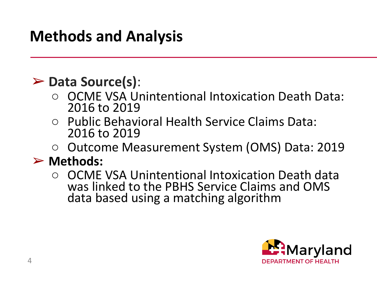# **Methods and Analysis**

#### ➢ **Data Source(s)**:

- OCME VSA Unintentional Intoxication Death Data: 2016 to 2019
- Public Behavioral Health Service Claims Data: 2016 to 2019
- Outcome Measurement System (OMS) Data: 2019

#### ➢ **Methods:**

○ OCME VSA Unintentional Intoxication Death data was linked to the PBHS Service Claims and OMS data based using a matching algorithm

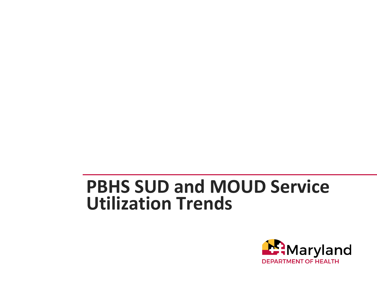# **PBHS SUD and MOUD Service Utilization Trends**

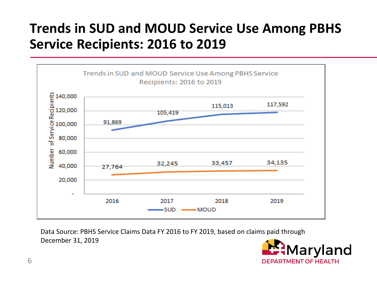#### **Trends in SUD and MOUD Service Use Among PBHS Service Recipients: 2016 to 2019**



Data Source: PBHS Service Claims Data FY 2016 to FY 2019, based on claims paid through December 31, 2019

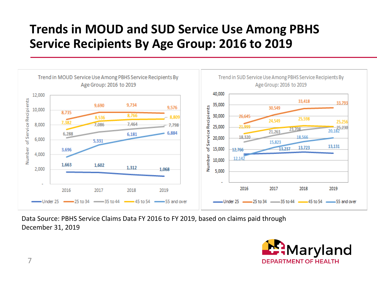#### **Trends in MOUD and SUD Service Use Among PBHS Service Recipients By Age Group: 2016 to 2019**



Data Source: PBHS Service Claims Data FY 2016 to FY 2019, based on claims paid through December 31, 2019

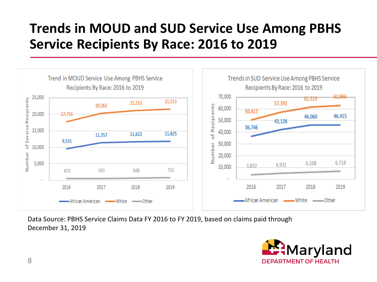#### **Trends in MOUD and SUD Service Use Among PBHS Service Recipients By Race: 2016 to 2019**



Data Source: PBHS Service Claims Data FY 2016 to FY 2019, based on claims paid through December 31, 2019

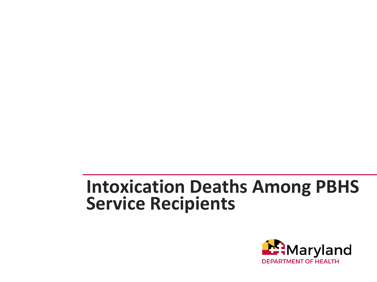# **Intoxication Deaths Among PBHS Service Recipients**

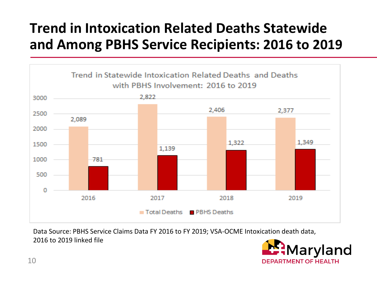## **Trend in Intoxication Related Deaths Statewide and Among PBHS Service Recipients: 2016 to 2019**



Data Source: PBHS Service Claims Data FY 2016 to FY 2019; VSA-OCME Intoxication death data, 2016 to 2019 linked file

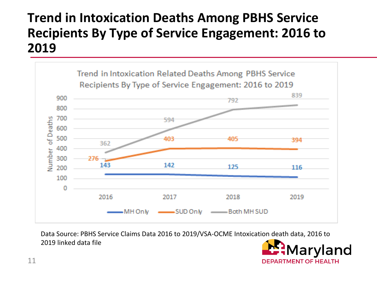#### **Trend in Intoxication Deaths Among PBHS Service Recipients By Type of Service Engagement: 2016 to 2019**



Data Source: PBHS Service Claims Data 2016 to 2019/VSA-OCME Intoxication death data, 2016 to 2019 linked data file

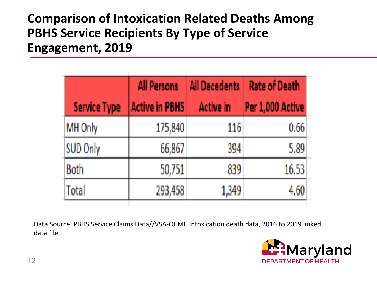#### **Comparison of Intoxication Related Deaths Among PBHS Service Recipients By Type of Service Engagement, 2019**

|                     | <b>All Persons</b>    | <b>All Decedents</b> | <b>Rate of Death</b> |
|---------------------|-----------------------|----------------------|----------------------|
| <b>Service Type</b> | <b>Active in PBHS</b> | <b>Active in</b>     | Per 1,000 Active     |
| MH Only             | 175,840               | 116                  | 0.66                 |
| <b>SUD Only</b>     | 66,867                | 394                  | 5.89                 |
| Both                | 50,751                | 839                  | 16.53                |
| Total               | 293,458               | 1,349                |                      |

Data Source: PBHS Service Claims Data//VSA-OCME Intoxication death data, 2016 to 2019 linked data file

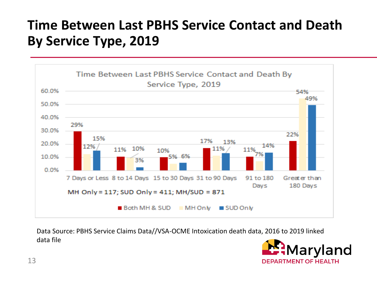#### **Time Between Last PBHS Service Contact and Death By Service Type, 2019**



Data Source: PBHS Service Claims Data//VSA-OCME Intoxication death data, 2016 to 2019 linked data file

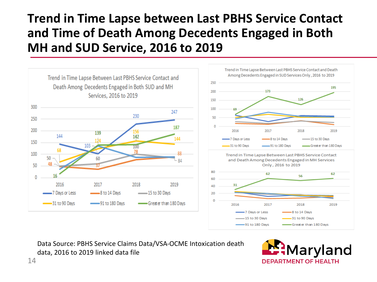#### **Trend in Time Lapse between Last PBHS Service Contact and Time of Death Among Decedents Engaged in Both MH and SUD Service, 2016 to 2019**



Data Source: PBHS Service Claims Data/VSA-OCME Intoxication death data, 2016 to 2019 linked data file

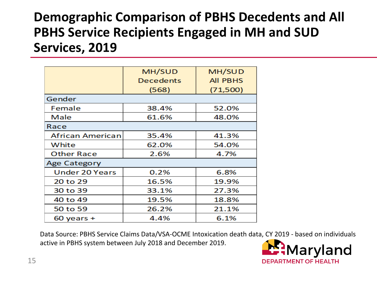#### **Demographic Comparison of PBHS Decedents and All PBHS Service Recipients Engaged in MH and SUD Services, 2019**

|                         | <b>MH/SUD</b>    | MH/SUD          |  |  |
|-------------------------|------------------|-----------------|--|--|
|                         | <b>Decedents</b> | <b>All PBHS</b> |  |  |
|                         | (568)            | (71,500)        |  |  |
| Gender                  |                  |                 |  |  |
| Female                  | 38.4%            | 52.0%           |  |  |
| Male                    | 61.6%            | 48.0%           |  |  |
| Race                    |                  |                 |  |  |
| <b>African American</b> | 35.4%            | 41.3%           |  |  |
| White                   | 62.0%            | 54.0%           |  |  |
| <b>Other Race</b>       | 2.6%             | 4.7%            |  |  |
| Age Category            |                  |                 |  |  |
| <b>Under 20 Years</b>   | 0.2%             | 6.8%            |  |  |
| 20 to 29                | 16.5%            | 19.9%           |  |  |
| 30 to 39                | 33.1%            | 27.3%           |  |  |
| 40 to 49                | 19.5%            | 18.8%           |  |  |
| 50 to 59                | 26.2%            | 21.1%           |  |  |
| $60$ years $+$          | 4.4%             | 6.1%            |  |  |

Data Source: PBHS Service Claims Data/VSA-OCME Intoxication death data, CY 2019 - based on individuals active in PBHS system between July 2018 and December 2019.

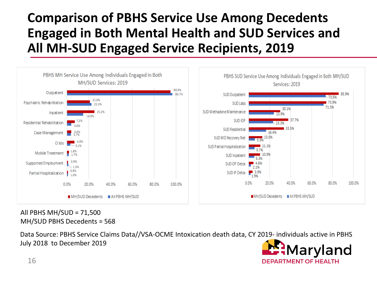#### **Comparison of PBHS Service Use Among Decedents Engaged in Both Mental Health and SUD Services and All MH-SUD Engaged Service Recipients, 2019**



All PBHS MH/SUD = 71,500 MH/SUD PBHS Decedents = 568

Data Source: PBHS Service Claims Data//VSA-OCME Intoxication death data, CY 2019- individuals active in PBHS July 2018 to December 2019

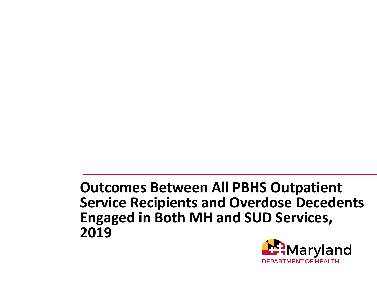#### **Outcomes Between All PBHS Outpatient Service Recipients and Overdose Decedents Engaged in Both MH and SUD Services, 2019**

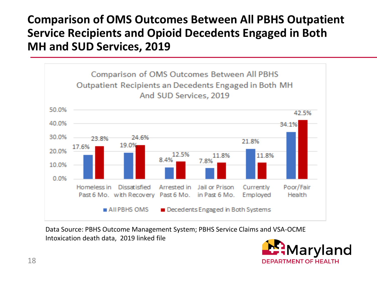#### **Comparison of OMS Outcomes Between All PBHS Outpatient Service Recipients and Opioid Decedents Engaged in Both MH and SUD Services, 2019**



Data Source: PBHS Outcome Management System; PBHS Service Claims and VSA-OCME Intoxication death data, 2019 linked file

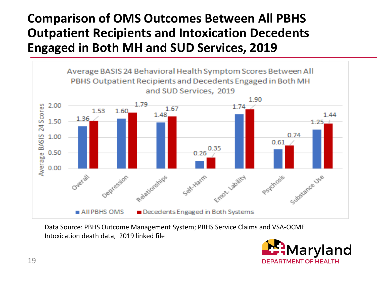#### **Comparison of OMS Outcomes Between All PBHS Outpatient Recipients and Intoxication Decedents Engaged in Both MH and SUD Services, 2019**



Data Source: PBHS Outcome Management System; PBHS Service Claims and VSA-OCME Intoxication death data, 2019 linked file

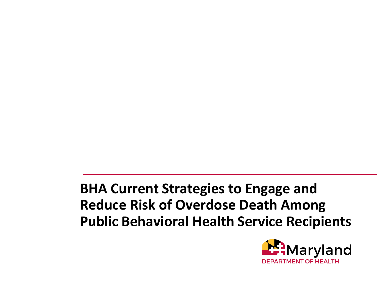#### **BHA Current Strategies to Engage and Reduce Risk of Overdose Death Among Public Behavioral Health Service Recipients**

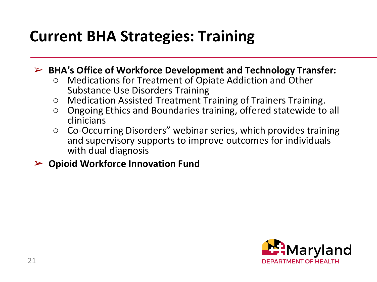# **Current BHA Strategies: Training**

➢ **BHA's Office of Workforce Development and Technology Transfer:**

- Medications for Treatment of Opiate Addiction and Other Substance Use Disorders Training
- Medication Assisted Treatment Training of Trainers Training.
- Ongoing Ethics and Boundaries training, offered statewide to all clinicians
- Co-Occurring Disorders" webinar series, which provides training and supervisory supports to improve outcomes for individuals with dual diagnosis
- ➢ **Opioid Workforce Innovation Fund**

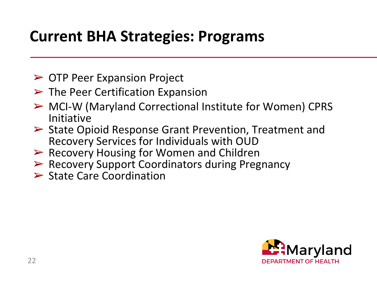## **Current BHA Strategies: Programs**

- ➢ OTP Peer Expansion Project
- $\triangleright$  The Peer Certification Expansion
- ➢ MCI-W (Maryland Correctional Institute for Women) CPRS Initiative
- ➢ State Opioid Response Grant Prevention, Treatment and Recovery Services for Individuals with OUD
- ➢ Recovery Housing for Women and Children
- ➢ Recovery Support Coordinators during Pregnancy
- ➢ State Care Coordination

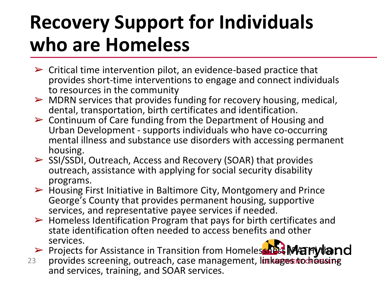# **Recovery Support for Individuals who are Homeless**

- $\triangleright$  Critical time intervention pilot, an evidence-based practice that provides short-time interventions to engage and connect individuals to resources in the community
- $\triangleright$  MDRN services that provides funding for recovery housing, medical, dental, transportation, birth certificates and identification.
- $\triangleright$  Continuum of Care funding from the Department of Housing and Urban Development - supports individuals who have co-occurring mental illness and substance use disorders with accessing permanent housing.
- ➢ SSI/SSDI, Outreach, Access and Recovery (SOAR) that provides outreach, assistance with applying for social security disability programs.
- ➢ Housing First Initiative in Baltimore City, Montgomery and Prince George's County that provides permanent housing, supportive services, and representative payee services if needed.
- $\triangleright$  Homeless Identification Program that pays for birth certificates and state identification often needed to access benefits and other services.
- **EXERCISE FOR ASSISTANCE IN Transition from Homelessness MATHVIIION CONTAINING PROPERTY**
- provides screening, outreach, case management, linkages to housing and services, training, and SOAR services. 23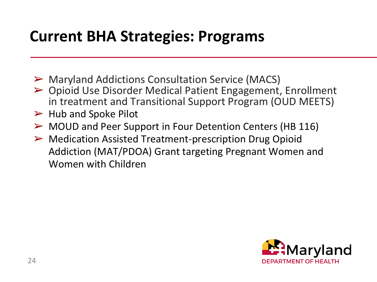# **Current BHA Strategies: Programs**

- ➢ Maryland Addictions Consultation Service (MACS)
- ➢ Opioid Use Disorder Medical Patient Engagement, Enrollment in treatment and Transitional Support Program (OUD MEETS)
- $\triangleright$  Hub and Spoke Pilot
- ➢ MOUD and Peer Support in Four Detention Centers (HB 116)
- ➢ Medication Assisted Treatment-prescription Drug Opioid Addiction (MAT/PDOA) Grant targeting Pregnant Women and Women with Children

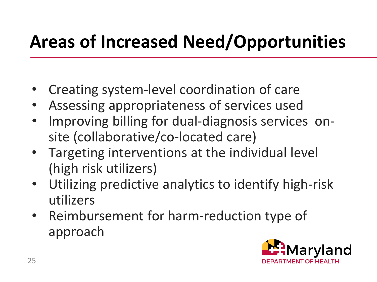# **Areas of Increased Need/Opportunities**

- Creating system-level coordination of care
- Assessing appropriateness of services used
- Improving billing for dual-diagnosis services onsite (collaborative/co-located care)
- Targeting interventions at the individual level (high risk utilizers)
- Utilizing predictive analytics to identify high-risk utilizers
- Reimbursement for harm-reduction type of approach

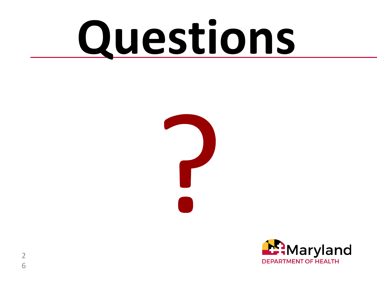# **Questions**